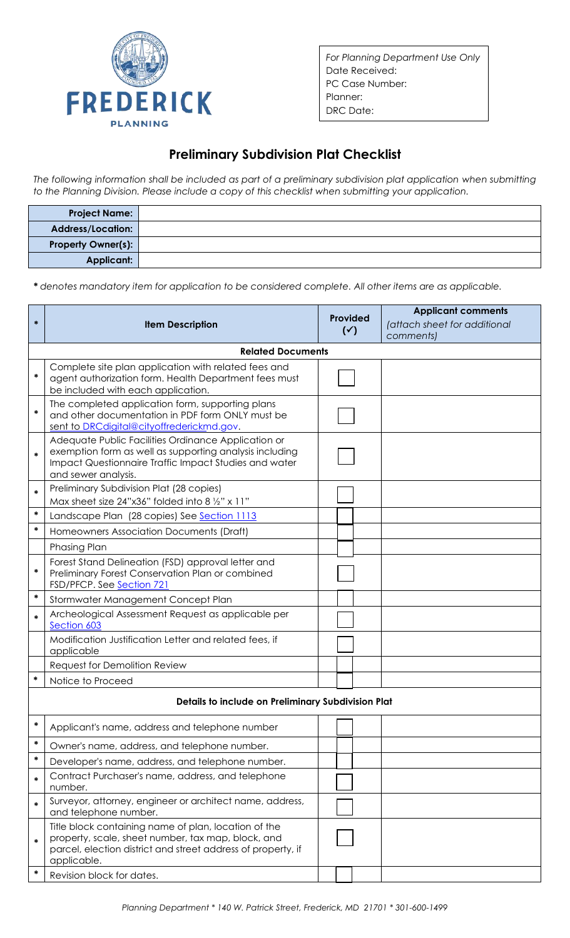

*For Planning Department Use Only* Date Received: PC Case Number: Planner: DRC Date:

## **Preliminary Subdivision Plat Checklist**

*The following information shall be included as part of a preliminary subdivision plat application when submitting to the Planning Division. Please include a copy of this checklist when submitting your application.*

| <b>Project Name:</b>      |  |
|---------------------------|--|
| Address/Location:         |  |
| <b>Property Owner(s):</b> |  |
| <b>Applicant:</b>         |  |

*\* denotes mandatory item for application to be considered complete. All other items are as applicable.*

| $\ast$                                             | <b>Item Description</b>                                                                                                                                                                        | <b>Provided</b><br>$(\checkmark)$ | <b>Applicant comments</b><br>(attach sheet for additional<br>comments) |  |  |  |  |
|----------------------------------------------------|------------------------------------------------------------------------------------------------------------------------------------------------------------------------------------------------|-----------------------------------|------------------------------------------------------------------------|--|--|--|--|
|                                                    | <b>Related Documents</b>                                                                                                                                                                       |                                   |                                                                        |  |  |  |  |
| $\ast$                                             | Complete site plan application with related fees and<br>agent authorization form. Health Department fees must<br>be included with each application.                                            |                                   |                                                                        |  |  |  |  |
| $\ast$                                             | The completed application form, supporting plans<br>and other documentation in PDF form ONLY must be<br>sent to DRCdigital@cityoffrederickmd.gov.                                              |                                   |                                                                        |  |  |  |  |
| *                                                  | Adequate Public Facilities Ordinance Application or<br>exemption form as well as supporting analysis including<br>Impact Questionnaire Traffic Impact Studies and water<br>and sewer analysis. |                                   |                                                                        |  |  |  |  |
| $\ast$                                             | Preliminary Subdivision Plat (28 copies)<br>Max sheet size $24"x36"$ folded into 8 $\frac{1}{2}x$ x 11"                                                                                        |                                   |                                                                        |  |  |  |  |
| *                                                  | Landscape Plan (28 copies) See Section 1113                                                                                                                                                    |                                   |                                                                        |  |  |  |  |
| $\ast$                                             | Homeowners Association Documents (Draft)                                                                                                                                                       |                                   |                                                                        |  |  |  |  |
|                                                    | Phasing Plan                                                                                                                                                                                   |                                   |                                                                        |  |  |  |  |
| *                                                  | Forest Stand Delineation (FSD) approval letter and<br>Preliminary Forest Conservation Plan or combined<br>FSD/PFCP. See Section 721                                                            |                                   |                                                                        |  |  |  |  |
| *                                                  | Stormwater Management Concept Plan                                                                                                                                                             |                                   |                                                                        |  |  |  |  |
| $\ast$                                             | Archeological Assessment Request as applicable per<br>Section 603                                                                                                                              |                                   |                                                                        |  |  |  |  |
|                                                    | Modification Justification Letter and related fees, if<br>applicable                                                                                                                           |                                   |                                                                        |  |  |  |  |
|                                                    | Request for Demolition Review                                                                                                                                                                  |                                   |                                                                        |  |  |  |  |
| $\ast$                                             | Notice to Proceed                                                                                                                                                                              |                                   |                                                                        |  |  |  |  |
| Details to include on Preliminary Subdivision Plat |                                                                                                                                                                                                |                                   |                                                                        |  |  |  |  |
| ∗                                                  | Applicant's name, address and telephone number                                                                                                                                                 |                                   |                                                                        |  |  |  |  |
| ∗                                                  | Owner's name, address, and telephone number.                                                                                                                                                   |                                   |                                                                        |  |  |  |  |
| ∗                                                  | Developer's name, address, and telephone number.                                                                                                                                               |                                   |                                                                        |  |  |  |  |
| *                                                  | Contract Purchaser's name, address, and telephone<br>number.                                                                                                                                   |                                   |                                                                        |  |  |  |  |
| *                                                  | Surveyor, attorney, engineer or architect name, address,<br>and telephone number.                                                                                                              |                                   |                                                                        |  |  |  |  |
| *                                                  | Title block containing name of plan, location of the<br>property, scale, sheet number, tax map, block, and<br>parcel, election district and street address of property, if<br>applicable.      |                                   |                                                                        |  |  |  |  |
| ∗                                                  | Revision block for dates.                                                                                                                                                                      |                                   |                                                                        |  |  |  |  |